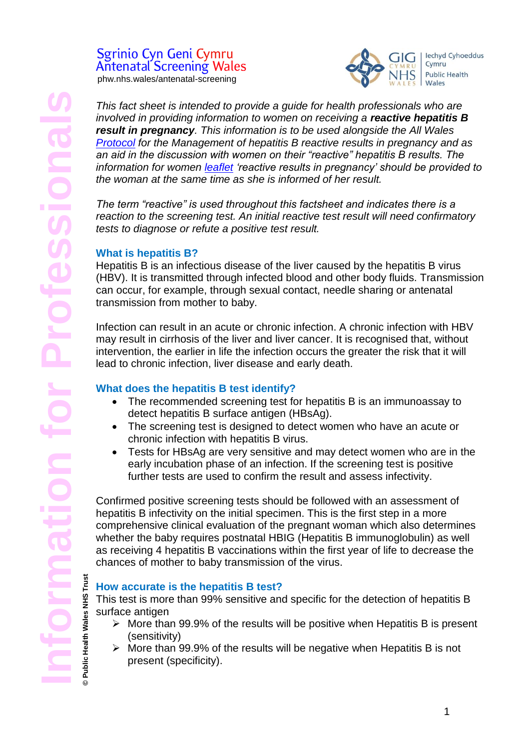Public Health Wales

# Sgrinio Cyn Geni Cymru **Antenatal Screening Wales**

phw.nhs.wales/antenatal-screening



*This fact sheet is intended to provide a guide for health professionals who are involved in providing information to women on receiving a <i>reactive hepatitis B result in pregnancy. This information is to be used alongside the All Wales [Protocol](https://phw.nhs.wales/services-and-teams/screening/antenatal-screening-wales/information-for-professionals/) for the Management of hepatitis B reactive results in pregnancy and as an aid in the discussion with women on their "reactive" hepatitis B results. The information for women [leaflet](https://phw.nhs.wales/services-and-teams/screening/antenatal-screening-wales/what-do-results-mean/) 'reactive results in pregnancy' should be provided to the woman at the same time as she is informed of her result.* 

*The term "reactive" is used throughout this factsheet and indicates there is a reaction to the screening test. An initial reactive test result will need confirmatory tests to diagnose or refute a positive test result.* 

# **What is hepatitis B?**

Hepatitis B is an infectious disease of the liver caused by the hepatitis B virus (HBV). It is transmitted through infected blood and other body fluids. Transmission can occur, for example, through sexual contact, needle sharing or antenatal transmission from mother to baby.

Infection can result in an acute or chronic infection. A chronic infection with HBV may result in cirrhosis of the liver and liver cancer. It is recognised that, without intervention, the earlier in life the infection occurs the greater the risk that it will lead to chronic infection, liver disease and early death.

# **What does the hepatitis B test identify?**

- The recommended screening test for hepatitis B is an immunoassay to detect hepatitis B surface antigen (HBsAg).
- The screening test is designed to detect women who have an acute or chronic infection with hepatitis B virus.
- Tests for HBsAg are very sensitive and may detect women who are in the early incubation phase of an infection. If the screening test is positive further tests are used to confirm the result and assess infectivity.

Confirmed positive screening tests should be followed with an assessment of hepatitis B infectivity on the initial specimen. This is the first step in a more comprehensive clinical evaluation of the pregnant woman which also determines whether the baby requires postnatal HBIG (Hepatitis B immunoglobulin) as well as receiving 4 hepatitis B vaccinations within the first year of life to decrease the chances of mother to baby transmission of the virus.

# **© Public Health Wales NHS Trust How accurate is the hepatitis B test?**

This test is more than 99% sensitive and specific for the detection of hepatitis B surface antigen

- $\triangleright$  More than 99.9% of the results will be positive when Hepatitis B is present (sensitivity)
- $\triangleright$  More than 99.9% of the results will be negative when Hepatitis B is not present (specificity).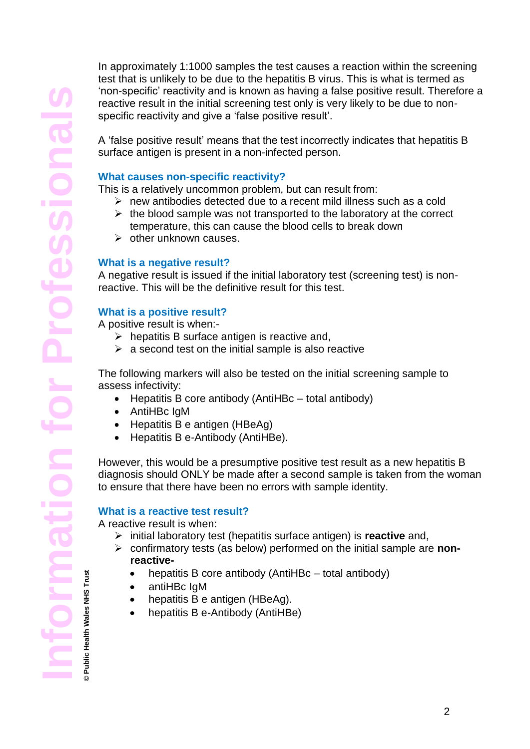In approximately 1:1000 samples the test causes a reaction within the screening test that is unlikely to be due to the hepatitis B virus. This is what is termed as 'non-specific' reactivity and is known as having a false positive result. Therefore a reactive result in the initial screening test only is very likely to be due to nonspecific reactivity and give a 'false positive result'.

A ['false positive](http://en.wikipedia.org/wiki/False_positive) result' means that the test incorrectly indicates that hepatitis B surface antigen is present in a non-infected person.

#### **What causes non-specific reactivity?**

This is a relatively uncommon problem, but can result from:

- $\triangleright$  new antibodies detected due to a recent mild illness such as a cold
- $\triangleright$  the blood sample was not transported to the laboratory at the correct temperature, this can cause the blood cells to break down
- $\triangleright$  other unknown causes.

#### **What is a negative result?**

A negative result is issued if the initial laboratory test (screening test) is nonreactive. This will be the definitive result for this test.

#### **What is a positive result?**

A positive result is when:-

- $\triangleright$  hepatitis B surface antigen is reactive and,
- $\triangleright$  a second test on the initial sample is also reactive

The following markers will also be tested on the initial screening sample to assess infectivity:

- $\bullet$  Hepatitis B core antibody (AntiHBc total antibody)
- AntiHBc IgM
- Hepatitis B e antigen (HBeAg)
- Hepatitis B e-Antibody (AntiHBe).

However, this would be a presumptive positive test result as a new hepatitis B diagnosis should ONLY be made after a second sample is taken from the woman to ensure that there have been no errors with sample identity.

#### **What is a reactive test result?**

A reactive result is when:

- initial laboratory test (hepatitis surface antigen) is **reactive** and,
- confirmatory tests (as below) performed on the initial sample are **nonreactive-**
	- hepatitis B core antibody (AntiHBc total antibody)
	- antiHBc IgM
	- hepatitis B e antigen (HBeAg).
	- hepatitis B e-Antibody (AntiHBe)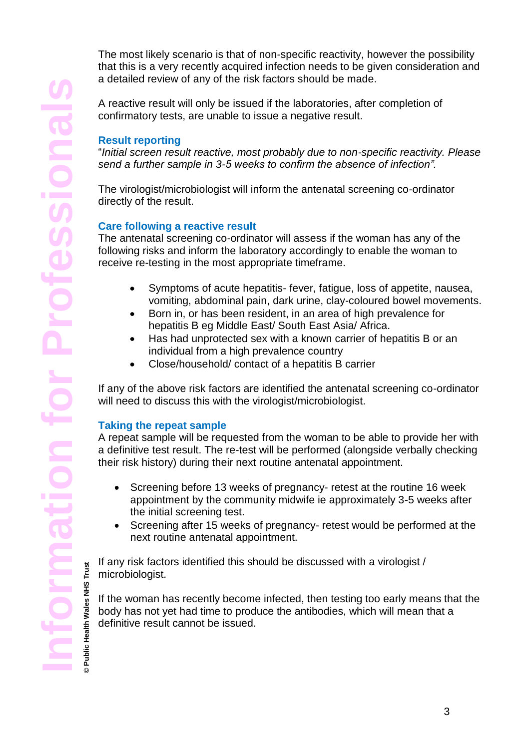**© Public Health Wales NHS Trust**

The most likely scenario is that of non-specific reactivity, however the possibility that this is a very recently acquired infection needs to be given consideration and a detailed review of any of the risk factors should be made.

A reactive result will only be issued if the laboratories, after completion of confirmatory tests, are unable to issue a negative result.

# **Result reporting**

"*Initial screen result reactive, most probably due to non-specific reactivity. Please send a further sample in 3-5 weeks to confirm the absence of infection".*

The virologist/microbiologist will inform the antenatal screening co-ordinator directly of the result.

# **Care following a reactive result**

The antenatal screening co-ordinator will assess if the woman has any of the following risks and inform the laboratory accordingly to enable the woman to receive re-testing in the most appropriate timeframe.

- Symptoms of acute hepatitis- fever, fatigue, loss of appetite, nausea, vomiting, abdominal pain, dark urine, clay-coloured bowel movements.
- Born in, or has been resident, in an area of high prevalence for hepatitis B eg Middle East/ South East Asia/ Africa.
- Has had unprotected sex with a known carrier of hepatitis B or an individual from a high prevalence country
- Close/household/ contact of a hepatitis B carrier

If any of the above risk factors are identified the antenatal screening co-ordinator will need to discuss this with the virologist/microbiologist.

# **Taking the repeat sample**

A repeat sample will be requested from the woman to be able to provide her with a definitive test result. The re-test will be performed (alongside verbally checking their risk history) during their next routine antenatal appointment.

- Screening before 13 weeks of pregnancy- retest at the routine 16 week appointment by the community midwife ie approximately 3-5 weeks after the initial screening test.
- Screening after 15 weeks of pregnancy- retest would be performed at the next routine antenatal appointment.

If any risk factors identified this should be discussed with a virologist / microbiologist.

If the woman has recently become infected, then testing too early means that the body has not yet had time to produce the antibodies, which will mean that a definitive result cannot be issued.